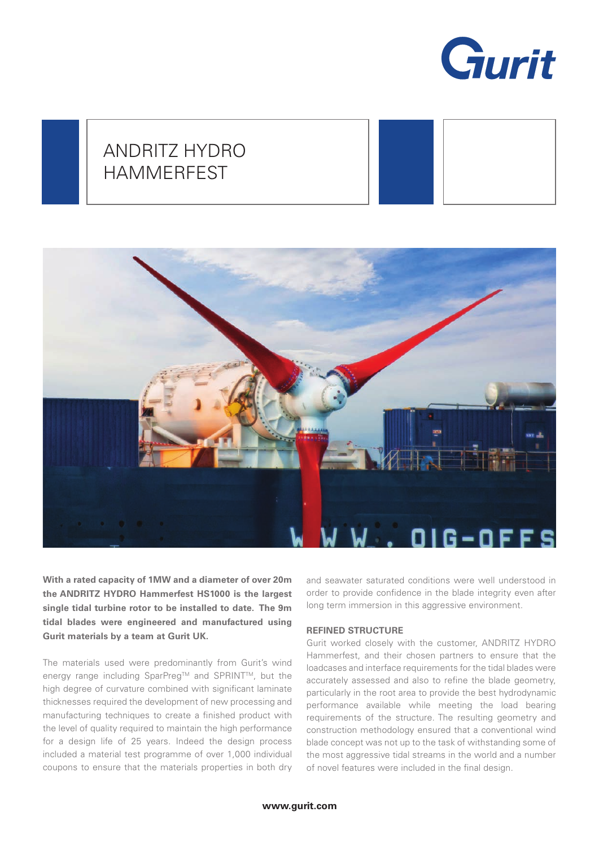

# ANDRITZ HYDRO HAMMERFEST



**With a rated capacity of 1MW and a diameter of over 20m the ANDRITZ HYDRO Hammerfest HS1000 is the largest single tidal turbine rotor to be installed to date. The 9m tidal blades were engineered and manufactured using Gurit materials by a team at Gurit UK.** 

The materials used were predominantly from Gurit's wind energy range including SparPreg™ and SPRINT™, but the high degree of curvature combined with significant laminate thicknesses required the development of new processing and manufacturing techniques to create a finished product with the level of quality required to maintain the high performance for a design life of 25 years. Indeed the design process included a material test programme of over 1,000 individual coupons to ensure that the materials properties in both dry

and seawater saturated conditions were well understood in order to provide confidence in the blade integrity even after long term immersion in this aggressive environment.

## **REFINED STRUCTURE**

Gurit worked closely with the customer, ANDRITZ HYDRO Hammerfest, and their chosen partners to ensure that the loadcases and interface requirements for the tidal blades were accurately assessed and also to refine the blade geometry, particularly in the root area to provide the best hydrodynamic performance available while meeting the load bearing requirements of the structure. The resulting geometry and construction methodology ensured that a conventional wind blade concept was not up to the task of withstanding some of the most aggressive tidal streams in the world and a number of novel features were included in the final design.